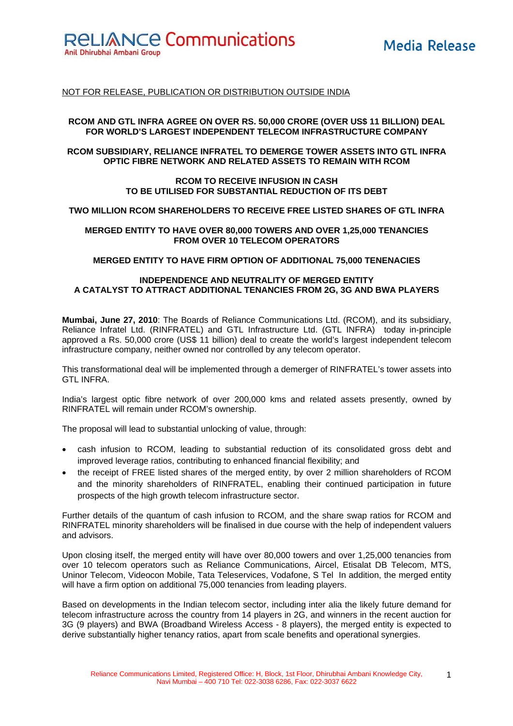**RELIANCE Communications** 

Anil Dhirubhai Ambani Group

## NOT FOR RELEASE, PUBLICATION OR DISTRIBUTION OUTSIDE INDIA

#### **RCOM AND GTL INFRA AGREE ON OVER RS. 50,000 CRORE (OVER US\$ 11 BILLION) DEAL FOR WORLD'S LARGEST INDEPENDENT TELECOM INFRASTRUCTURE COMPANY**

## **RCOM SUBSIDIARY, RELIANCE INFRATEL TO DEMERGE TOWER ASSETS INTO GTL INFRA OPTIC FIBRE NETWORK AND RELATED ASSETS TO REMAIN WITH RCOM**

#### **RCOM TO RECEIVE INFUSION IN CASH TO BE UTILISED FOR SUBSTANTIAL REDUCTION OF ITS DEBT**

## **TWO MILLION RCOM SHAREHOLDERS TO RECEIVE FREE LISTED SHARES OF GTL INFRA**

## **MERGED ENTITY TO HAVE OVER 80,000 TOWERS AND OVER 1,25,000 TENANCIES FROM OVER 10 TELECOM OPERATORS**

## **MERGED ENTITY TO HAVE FIRM OPTION OF ADDITIONAL 75,000 TENENACIES**

# **INDEPENDENCE AND NEUTRALITY OF MERGED ENTITY A CATALYST TO ATTRACT ADDITIONAL TENANCIES FROM 2G, 3G AND BWA PLAYERS**

**Mumbai, June 27, 2010**: The Boards of Reliance Communications Ltd. (RCOM), and its subsidiary, Reliance Infratel Ltd. (RINFRATEL) and GTL Infrastructure Ltd. (GTL INFRA) today in-principle approved a Rs. 50,000 crore (US\$ 11 billion) deal to create the world's largest independent telecom infrastructure company, neither owned nor controlled by any telecom operator.

This transformational deal will be implemented through a demerger of RINFRATEL's tower assets into GTL INFRA.

India's largest optic fibre network of over 200,000 kms and related assets presently, owned by RINFRATEL will remain under RCOM's ownership.

The proposal will lead to substantial unlocking of value, through:

- cash infusion to RCOM, leading to substantial reduction of its consolidated gross debt and improved leverage ratios, contributing to enhanced financial flexibility; and
- the receipt of FREE listed shares of the merged entity, by over 2 million shareholders of RCOM and the minority shareholders of RINFRATEL, enabling their continued participation in future prospects of the high growth telecom infrastructure sector.

Further details of the quantum of cash infusion to RCOM, and the share swap ratios for RCOM and RINFRATEL minority shareholders will be finalised in due course with the help of independent valuers and advisors.

Upon closing itself, the merged entity will have over 80,000 towers and over 1,25,000 tenancies from over 10 telecom operators such as Reliance Communications, Aircel, Etisalat DB Telecom, MTS, Uninor Telecom, Videocon Mobile, Tata Teleservices, Vodafone, S Tel In addition, the merged entity will have a firm option on additional 75,000 tenancies from leading players.

Based on developments in the Indian telecom sector, including inter alia the likely future demand for telecom infrastructure across the country from 14 players in 2G, and winners in the recent auction for 3G (9 players) and BWA (Broadband Wireless Access - 8 players), the merged entity is expected to derive substantially higher tenancy ratios, apart from scale benefits and operational synergies.